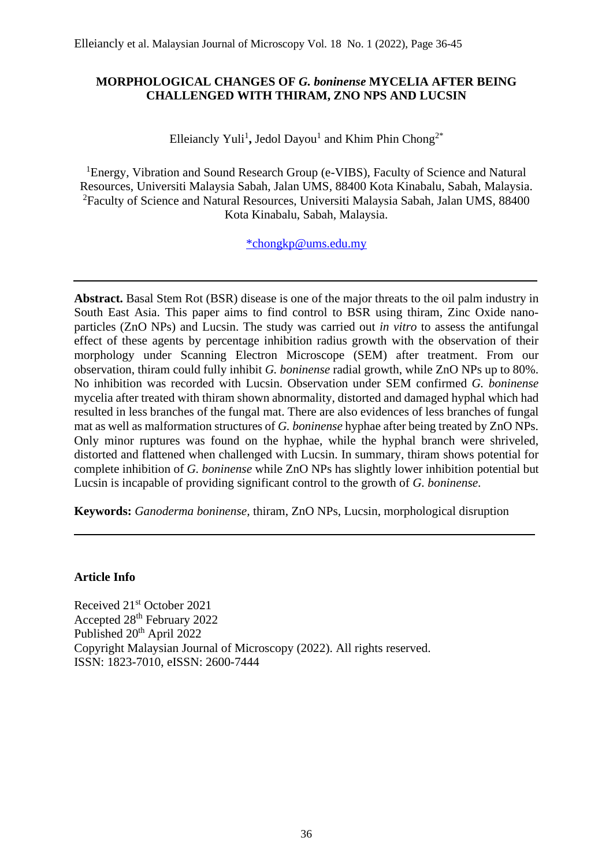# **MORPHOLOGICAL CHANGES OF** *G. boninense* **MYCELIA AFTER BEING CHALLENGED WITH THIRAM, ZNO NPS AND LUCSIN**

Elleiancly Yuli<sup>1</sup>, Jedol Dayou<sup>1</sup> and Khim Phin Chong<sup>2\*</sup>

<sup>1</sup>Energy, Vibration and Sound Research Group (e-VIBS), Faculty of Science and Natural Resources, Universiti Malaysia Sabah, Jalan UMS, 88400 Kota Kinabalu, Sabah, Malaysia. <sup>2</sup>Faculty of Science and Natural Resources, Universiti Malaysia Sabah, Jalan UMS, 88400 Kota Kinabalu, Sabah, Malaysia.

[\\*chongkp@ums.edu.my](mailto:*chongkp@ums.edu.my)

**Abstract.** Basal Stem Rot (BSR) disease is one of the major threats to the oil palm industry in South East Asia. This paper aims to find control to BSR using thiram, Zinc Oxide nanoparticles (ZnO NPs) and Lucsin. The study was carried out *in vitro* to assess the antifungal effect of these agents by percentage inhibition radius growth with the observation of their morphology under Scanning Electron Microscope (SEM) after treatment. From our observation, thiram could fully inhibit *G. boninense* radial growth, while ZnO NPs up to 80%. No inhibition was recorded with Lucsin. Observation under SEM confirmed *G. boninense* mycelia after treated with thiram shown abnormality, distorted and damaged hyphal which had resulted in less branches of the fungal mat. There are also evidences of less branches of fungal mat as well as malformation structures of *G. boninense* hyphae after being treated by ZnO NPs. Only minor ruptures was found on the hyphae, while the hyphal branch were shriveled, distorted and flattened when challenged with Lucsin. In summary, thiram shows potential for complete inhibition of *G. boninense* while ZnO NPs has slightly lower inhibition potential but Lucsin is incapable of providing significant control to the growth of *G. boninense*.

**Keywords:** *Ganoderma boninense,* thiram, ZnO NPs, Lucsin, morphological disruption

# **Article Info**

Received 21st October 2021 Accepted 28th February 2022 Published 20<sup>th</sup> April 2022 Copyright Malaysian Journal of Microscopy (2022). All rights reserved. ISSN: 1823-7010, eISSN: 2600-7444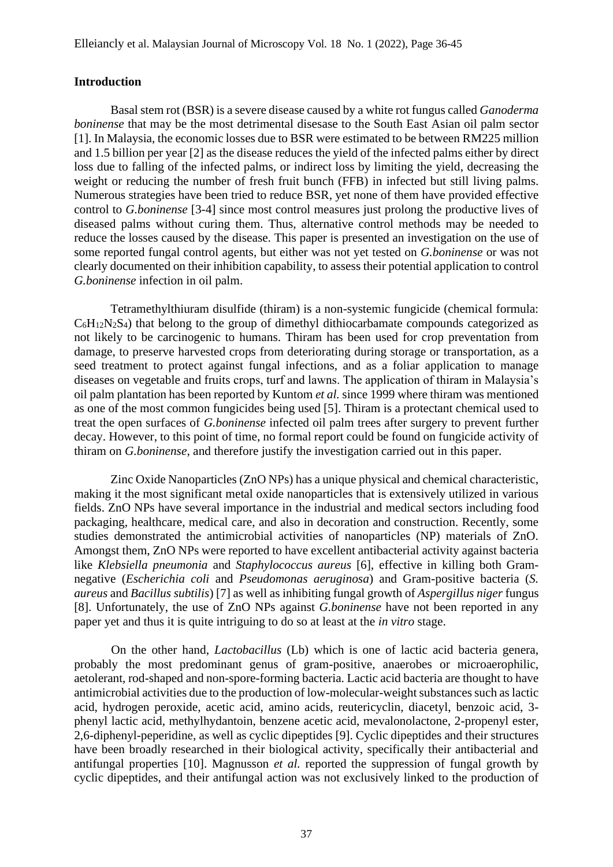#### **Introduction**

Basal stem rot (BSR) is a severe disease caused by a white rot fungus called *Ganoderma boninense* that may be the most detrimental disesase to the South East Asian oil palm sector [1]. In Malaysia, the economic losses due to BSR were estimated to be between RM225 million and 1.5 billion per year [2] as the disease reduces the yield of the infected palms either by direct loss due to falling of the infected palms, or indirect loss by limiting the yield, decreasing the weight or reducing the number of fresh fruit bunch (FFB) in infected but still living palms. Numerous strategies have been tried to reduce BSR, yet none of them have provided effective control to *G.boninense* [3-4] since most control measures just prolong the productive lives of diseased palms without curing them. Thus, alternative control methods may be needed to reduce the losses caused by the disease. This paper is presented an investigation on the use of some reported fungal control agents, but either was not yet tested on *G.boninense* or was not clearly documented on their inhibition capability, to assess their potential application to control *G.boninense* infection in oil palm.

Tetramethylthiuram disulfide (thiram) is a non-systemic fungicide (chemical formula:  $C_6H_12N_2S_4$ ) that belong to the group of dimethyl dithiocarbamate compounds categorized as not likely to be carcinogenic to humans. Thiram has been used for crop preventation from damage, to preserve harvested crops from deteriorating during storage or transportation, as a seed treatment to protect against fungal infections, and as a foliar application to manage diseases on vegetable and fruits crops, turf and lawns. The application of thiram in Malaysia's oil palm plantation has been reported by Kuntom *et al.* since 1999 where thiram was mentioned as one of the most common fungicides being used [5]. Thiram is a protectant chemical used to treat the open surfaces of *G.boninense* infected oil palm trees after surgery to prevent further decay. However, to this point of time, no formal report could be found on fungicide activity of thiram on *G.boninense*, and therefore justify the investigation carried out in this paper.

Zinc Oxide Nanoparticles (ZnO NPs) has a unique physical and chemical characteristic, making it the most significant metal oxide nanoparticles that is extensively utilized in various fields. ZnO NPs have several importance in the industrial and medical sectors including food packaging, healthcare, medical care, and also in decoration and construction. Recently, some studies demonstrated the antimicrobial activities of nanoparticles (NP) materials of ZnO. Amongst them, ZnO NPs were reported to have excellent antibacterial activity against bacteria like *Klebsiella pneumonia* and *Staphylococcus aureus* [6], effective in killing both Gramnegative (*Escherichia coli* and *Pseudomonas aeruginosa*) and Gram-positive bacteria (*S. aureus* and *Bacillus subtilis*) [7] as well as inhibiting fungal growth of *Aspergillus niger* fungus [8]. Unfortunately, the use of ZnO NPs against *G.boninense* have not been reported in any paper yet and thus it is quite intriguing to do so at least at the *in vitro* stage.

On the other hand, *Lactobacillus* (Lb) which is one of lactic acid bacteria genera, probably the most predominant genus of gram-positive, anaerobes or microaerophilic, aetolerant, rod-shaped and non-spore-forming bacteria. Lactic acid bacteria are thought to have antimicrobial activities due to the production of low-molecular-weight substances such as lactic acid, hydrogen peroxide, acetic acid, amino acids, reutericyclin, diacetyl, benzoic acid, 3 phenyl lactic acid, methylhydantoin, benzene acetic acid, mevalonolactone, 2-propenyl ester, 2,6-diphenyl-peperidine, as well as cyclic dipeptides [9]. Cyclic dipeptides and their structures have been broadly researched in their biological activity, specifically their antibacterial and antifungal properties [10]. Magnusson *et al.* reported the suppression of fungal growth by cyclic dipeptides, and their antifungal action was not exclusively linked to the production of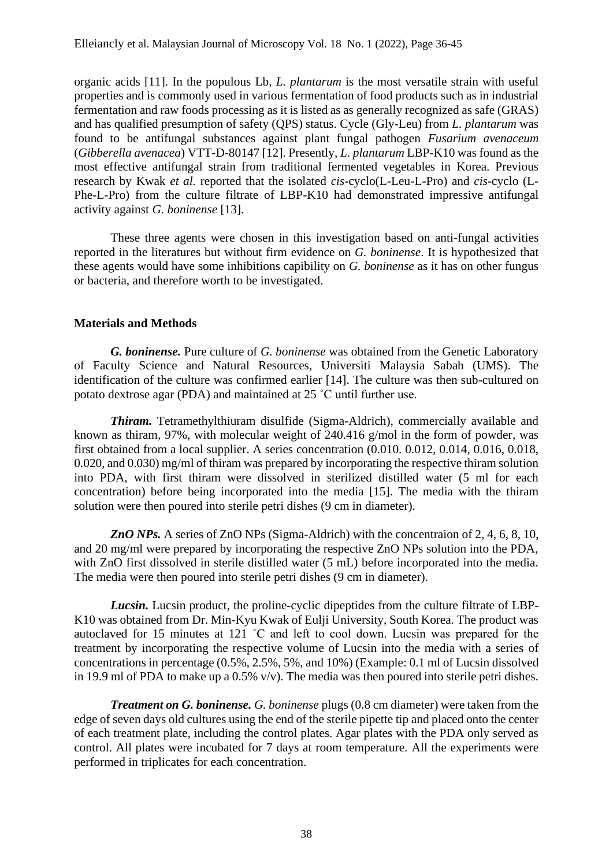organic acids [11]. In the populous Lb, *L. plantarum* is the most versatile strain with useful properties and is commonly used in various fermentation of food products such as in industrial fermentation and raw foods processing as it is listed as as generally recognized as safe (GRAS) and has qualified presumption of safety (QPS) status. Cycle (Gly-Leu) from *L. plantarum* was found to be antifungal substances against plant fungal pathogen *Fusarium avenaceum* (*Gibberella avenacea*) VTT-D-80147 [12]. Presently, *L. plantarum* LBP-K10 was found as the most effective antifungal strain from traditional fermented vegetables in Korea. Previous research by Kwak *et al.* reported that the isolated *cis-*cyclo(L-Leu-L-Pro) and *cis-*cyclo (L-Phe-L-Pro) from the culture filtrate of LBP-K10 had demonstrated impressive antifungal activity against *G. boninense* [13].

These three agents were chosen in this investigation based on anti-fungal activities reported in the literatures but without firm evidence on *G. boninense*. It is hypothesized that these agents would have some inhibitions capibility on *G. boninense* as it has on other fungus or bacteria, and therefore worth to be investigated.

## **Materials and Methods**

*G. boninense.* Pure culture of *G. boninense* was obtained from the Genetic Laboratory of Faculty Science and Natural Resources, Universiti Malaysia Sabah (UMS). The identification of the culture was confirmed earlier [14]. The culture was then sub-cultured on potato dextrose agar (PDA) and maintained at 25 ˚C until further use.

*Thiram.* Tetramethylthiuram disulfide (Sigma-Aldrich), commercially available and known as thiram, 97%, with molecular weight of 240.416 g/mol in the form of powder, was first obtained from a local supplier. A series concentration (0.010. 0.012, 0.014, 0.016, 0.018, 0.020, and 0.030) mg/ml of thiram was prepared by incorporating the respective thiram solution into PDA, with first thiram were dissolved in sterilized distilled water (5 ml for each concentration) before being incorporated into the media [15]. The media with the thiram solution were then poured into sterile petri dishes (9 cm in diameter).

*ZnO NPs.* A series of ZnO NPs (Sigma-Aldrich) with the concentraion of 2, 4, 6, 8, 10, and 20 mg/ml were prepared by incorporating the respective ZnO NPs solution into the PDA, with ZnO first dissolved in sterile distilled water (5 mL) before incorporated into the media. The media were then poured into sterile petri dishes (9 cm in diameter).

*Lucsin.* Lucsin product, the proline-cyclic dipeptides from the culture filtrate of LBP-K10 was obtained from Dr. Min-Kyu Kwak of Eulji University, South Korea. The product was autoclaved for 15 minutes at 121 ˚C and left to cool down. Lucsin was prepared for the treatment by incorporating the respective volume of Lucsin into the media with a series of concentrations in percentage (0.5%, 2.5%, 5%, and 10%) (Example: 0.1 ml of Lucsin dissolved in 19.9 ml of PDA to make up a 0.5% v/v). The media was then poured into sterile petri dishes.

*Treatment on G. boninense. G. boninense* plugs (0.8 cm diameter) were taken from the edge of seven days old cultures using the end of the sterile pipette tip and placed onto the center of each treatment plate, including the control plates. Agar plates with the PDA only served as control. All plates were incubated for 7 days at room temperature. All the experiments were performed in triplicates for each concentration.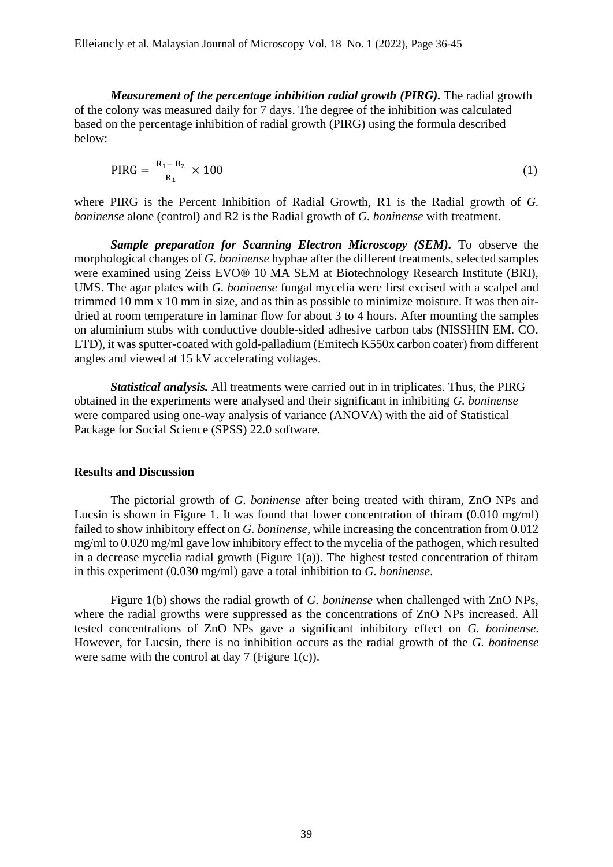*Measurement of the percentage inhibition radial growth (PIRG).* The radial growth of the colony was measured daily for 7 days. The degree of the inhibition was calculated based on the percentage inhibition of radial growth (PIRG) using the formula described below:

$$
PIRG = \frac{R_1 - R_2}{R_1} \times 100
$$
 (1)

where PIRG is the Percent Inhibition of Radial Growth, R1 is the Radial growth of *G. boninense* alone (control) and R2 is the Radial growth of *G. boninense* with treatment.

*Sample preparation for Scanning Electron Microscopy (SEM).* To observe the morphological changes of *G. boninense* hyphae after the different treatments, selected samples were examined using Zeiss EVO*®* 10 MA SEM at Biotechnology Research Institute (BRI), UMS. The agar plates with *G. boninense* fungal mycelia were first excised with a scalpel and trimmed 10 mm x 10 mm in size, and as thin as possible to minimize moisture. It was then airdried at room temperature in laminar flow for about 3 to 4 hours. After mounting the samples on aluminium stubs with conductive double-sided adhesive carbon tabs (NISSHIN EM. CO. LTD), it was sputter-coated with gold-palladium (Emitech K550x carbon coater) from different angles and viewed at 15 kV accelerating voltages.

*Statistical analysis.* All treatments were carried out in in triplicates. Thus, the PIRG obtained in the experiments were analysed and their significant in inhibiting *G. boninense* were compared using one-way analysis of variance (ANOVA) with the aid of Statistical Package for Social Science (SPSS) 22.0 software.

#### **Results and Discussion**

The pictorial growth of *G. boninense* after being treated with thiram, ZnO NPs and Lucsin is shown in Figure 1. It was found that lower concentration of thiram  $(0.010 \text{ mg/ml})$ failed to show inhibitory effect on *G. boninense*, while increasing the concentration from 0.012 mg/ml to 0.020 mg/ml gave low inhibitory effect to the mycelia of the pathogen, which resulted in a decrease mycelia radial growth (Figure  $1(a)$ ). The highest tested concentration of thiram in this experiment (0.030 mg/ml) gave a total inhibition to *G. boninense*.

Figure 1(b) shows the radial growth of *G. boninense* when challenged with ZnO NPs, where the radial growths were suppressed as the concentrations of ZnO NPs increased. All tested concentrations of ZnO NPs gave a significant inhibitory effect on *G. boninense*. However, for Lucsin, there is no inhibition occurs as the radial growth of the *G. boninense*  were same with the control at day 7 (Figure 1(c)).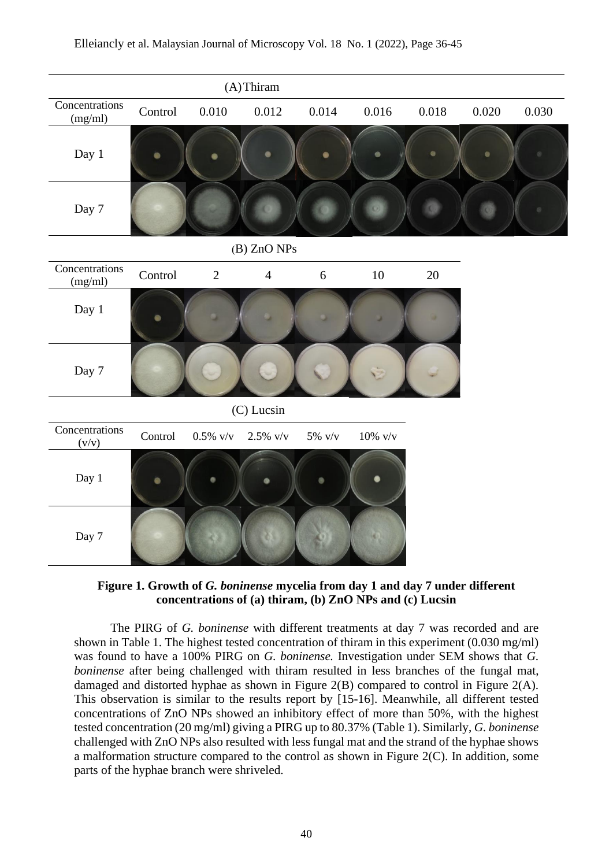



The PIRG of *G. boninense* with different treatments at day 7 was recorded and are shown in Table 1. The highest tested concentration of thiram in this experiment (0.030 mg/ml) was found to have a 100% PIRG on *G. boninense.* Investigation under SEM shows that *G. boninense* after being challenged with thiram resulted in less branches of the fungal mat, damaged and distorted hyphae as shown in Figure 2(B) compared to control in Figure 2(A). This observation is similar to the results report by [15-16]. Meanwhile, all different tested concentrations of ZnO NPs showed an inhibitory effect of more than 50%, with the highest tested concentration (20 mg/ml) giving a PIRG up to 80.37% (Table 1). Similarly, *G. boninense*  challenged with ZnO NPs also resulted with less fungal mat and the strand of the hyphae shows a malformation structure compared to the control as shown in Figure 2(C). In addition, some parts of the hyphae branch were shriveled.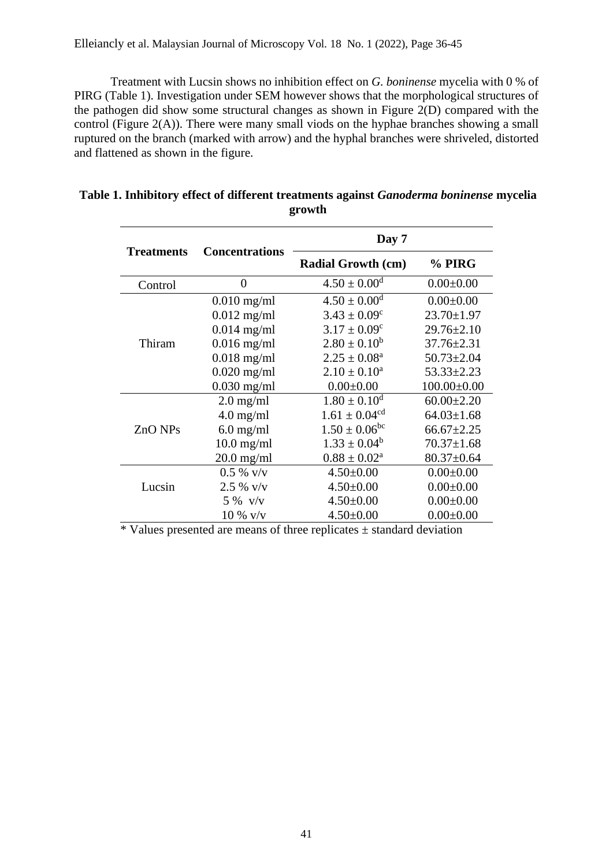Treatment with Lucsin shows no inhibition effect on *G. boninense* mycelia with 0 % of PIRG (Table 1). Investigation under SEM however shows that the morphological structures of the pathogen did show some structural changes as shown in Figure 2(D) compared with the control (Figure 2(A)). There were many small viods on the hyphae branches showing a small ruptured on the branch (marked with arrow) and the hyphal branches were shriveled, distorted and flattened as shown in the figure.

| <b>Treatments</b> | <b>Concentrations</b> | Day 7                         |                   |
|-------------------|-----------------------|-------------------------------|-------------------|
|                   |                       | <b>Radial Growth (cm)</b>     | % PIRG            |
| Control           | $\overline{0}$        | $4.50 \pm 0.00$ <sup>d</sup>  | $0.00 \pm 0.00$   |
| Thiram            | $0.010$ mg/ml         | $4.50 \pm 0.00$ <sup>d</sup>  | $0.00 \pm 0.00$   |
|                   | $0.012$ mg/ml         | $3.43 \pm 0.09^c$             | $23.70 \pm 1.97$  |
|                   | $0.014$ mg/ml         | $3.17 \pm 0.09^c$             | $29.76 \pm 2.10$  |
|                   | $0.016$ mg/ml         | $2.80 \pm 0.10^b$             | $37.76 \pm 2.31$  |
|                   | $0.018$ mg/ml         | $2.25 \pm 0.08^a$             | $50.73 \pm 2.04$  |
|                   | $0.020$ mg/ml         | $2.10 \pm 0.10^a$             | $53.33 \pm 2.23$  |
|                   | $0.030$ mg/ml         | $0.00 \pm 0.00$               | $100.00 \pm 0.00$ |
| ZnO NPs           | $2.0$ mg/ml           | $1.80 \pm 0.10^d$             | $60.00 \pm 2.20$  |
|                   | $4.0 \text{ mg/ml}$   | $1.61 \pm 0.04$ <sup>cd</sup> | $64.03 \pm 1.68$  |
|                   | $6.0$ mg/ml           | $1.50 \pm 0.06^{bc}$          | $66.67 \pm 2.25$  |
|                   | $10.0$ mg/ml          | $1.33 \pm 0.04^b$             | $70.37 \pm 1.68$  |
|                   | $20.0$ mg/ml          | $0.88 \pm 0.02^a$             | $80.37 \pm 0.64$  |
| Lucsin            | $0.5 \%$ v/v          | $4.50 \pm 0.00$               | $0.00 \pm 0.00$   |
|                   | $2.5 \%$ v/v          | $4.50 \pm 0.00$               | $0.00 \pm 0.00$   |
|                   | $5\%$ v/v             | $4.50 \pm 0.00$               | $0.00 \pm 0.00$   |
|                   | $10 \%$ v/v           | $4.50 \pm 0.00$               | $0.00 \pm 0.00$   |

**Table 1. Inhibitory effect of different treatments against** *Ganoderma boninense* **mycelia growth**

\* Values presented are means of three replicates ± standard deviation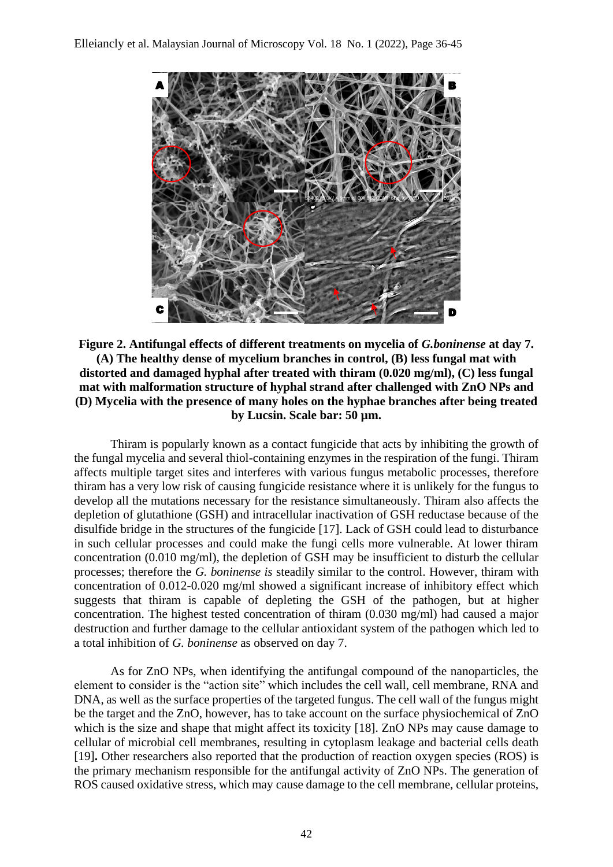

# **Figure 2. Antifungal effects of different treatments on mycelia of** *G.boninense* **at day 7. (A) The healthy dense of mycelium branches in control, (B) less fungal mat with distorted and damaged hyphal after treated with thiram (0.020 mg/ml), (C) less fungal mat with malformation structure of hyphal strand after challenged with ZnO NPs and (D) Mycelia with the presence of many holes on the hyphae branches after being treated by Lucsin. Scale bar: 50 µm.**

Thiram is popularly known as a contact fungicide that acts by inhibiting the growth of the fungal mycelia and several thiol-containing enzymes in the respiration of the fungi. Thiram affects multiple target sites and interferes with various fungus metabolic processes, therefore thiram has a very low risk of causing fungicide resistance where it is unlikely for the fungus to develop all the mutations necessary for the resistance simultaneously. Thiram also affects the depletion of glutathione (GSH) and intracellular inactivation of GSH reductase because of the disulfide bridge in the structures of the fungicide [17]. Lack of GSH could lead to disturbance in such cellular processes and could make the fungi cells more vulnerable. At lower thiram concentration (0.010 mg/ml), the depletion of GSH may be insufficient to disturb the cellular processes; therefore the *G. boninense is* steadily similar to the control. However, thiram with concentration of 0.012-0.020 mg/ml showed a significant increase of inhibitory effect which suggests that thiram is capable of depleting the GSH of the pathogen, but at higher concentration. The highest tested concentration of thiram (0.030 mg/ml) had caused a major destruction and further damage to the cellular antioxidant system of the pathogen which led to a total inhibition of *G. boninense* as observed on day 7.

As for ZnO NPs, when identifying the antifungal compound of the nanoparticles, the element to consider is the "action site" which includes the cell wall, cell membrane, RNA and DNA, as well as the surface properties of the targeted fungus. The cell wall of the fungus might be the target and the ZnO, however, has to take account on the surface physiochemical of ZnO which is the size and shape that might affect its toxicity [18]. ZnO NPs may cause damage to cellular of microbial cell membranes, resulting in cytoplasm leakage and bacterial cells death [19]**.** Other researchers also reported that the production of reaction oxygen species (ROS) is the primary mechanism responsible for the antifungal activity of ZnO NPs. The generation of ROS caused oxidative stress, which may cause damage to the cell membrane, cellular proteins,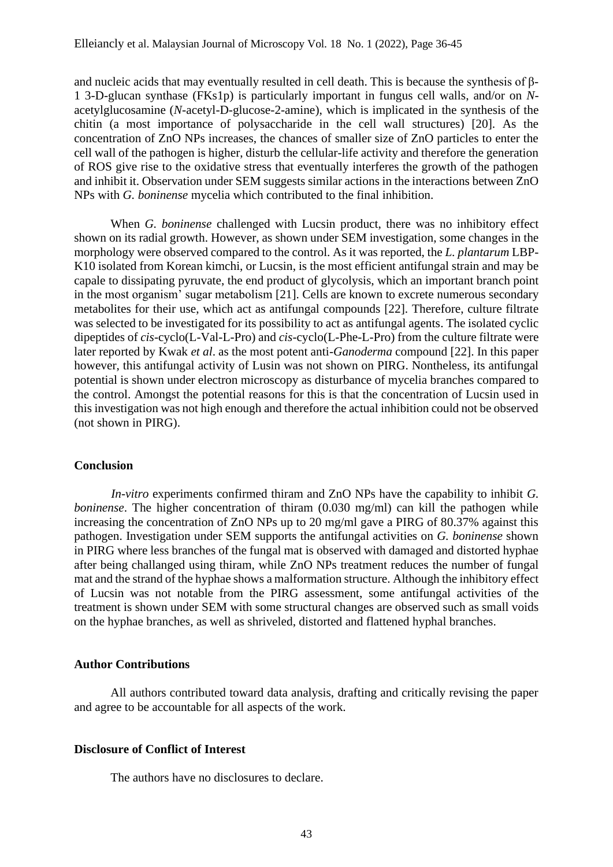and nucleic acids that may eventually resulted in cell death. This is because the synthesis of β-1 3-D-glucan synthase (FKs1p) is particularly important in fungus cell walls, and/or on *N*acetylglucosamine (*N*-acetyl-D-glucose-2-amine), which is implicated in the synthesis of the chitin (a most importance of polysaccharide in the cell wall structures) [20]. As the concentration of ZnO NPs increases, the chances of smaller size of ZnO particles to enter the cell wall of the pathogen is higher, disturb the cellular-life activity and therefore the generation of ROS give rise to the oxidative stress that eventually interferes the growth of the pathogen and inhibit it. Observation under SEM suggests similar actions in the interactions between ZnO NPs with *G. boninense* mycelia which contributed to the final inhibition.

When *G. boninense* challenged with Lucsin product, there was no inhibitory effect shown on its radial growth. However, as shown under SEM investigation, some changes in the morphology were observed compared to the control. As it was reported, the *L. plantarum* LBP-K10 isolated from Korean kimchi, or Lucsin, is the most efficient antifungal strain and may be capale to dissipating pyruvate, the end product of glycolysis, which an important branch point in the most organism' sugar metabolism [21]. Cells are known to excrete numerous secondary metabolites for their use, which act as antifungal compounds [22]. Therefore, culture filtrate was selected to be investigated for its possibility to act as antifungal agents. The isolated cyclic dipeptides of *cis-*cyclo(L-Val-L-Pro) and *cis-*cyclo(L-Phe-L-Pro) from the culture filtrate were later reported by Kwak *et al*. as the most potent anti-*Ganoderma* compound [22]. In this paper however, this antifungal activity of Lusin was not shown on PIRG. Nontheless, its antifungal potential is shown under electron microscopy as disturbance of mycelia branches compared to the control. Amongst the potential reasons for this is that the concentration of Lucsin used in this investigation was not high enough and therefore the actual inhibition could not be observed (not shown in PIRG).

### **Conclusion**

*In-vitro* experiments confirmed thiram and ZnO NPs have the capability to inhibit *G. boninense*. The higher concentration of thiram (0.030 mg/ml) can kill the pathogen while increasing the concentration of ZnO NPs up to 20 mg/ml gave a PIRG of 80.37% against this pathogen. Investigation under SEM supports the antifungal activities on *G. boninense* shown in PIRG where less branches of the fungal mat is observed with damaged and distorted hyphae after being challanged using thiram, while ZnO NPs treatment reduces the number of fungal mat and the strand of the hyphae shows a malformation structure. Although the inhibitory effect of Lucsin was not notable from the PIRG assessment, some antifungal activities of the treatment is shown under SEM with some structural changes are observed such as small voids on the hyphae branches, as well as shriveled, distorted and flattened hyphal branches.

### **Author Contributions**

All authors contributed toward data analysis, drafting and critically revising the paper and agree to be accountable for all aspects of the work.

### **Disclosure of Conflict of Interest**

The authors have no disclosures to declare.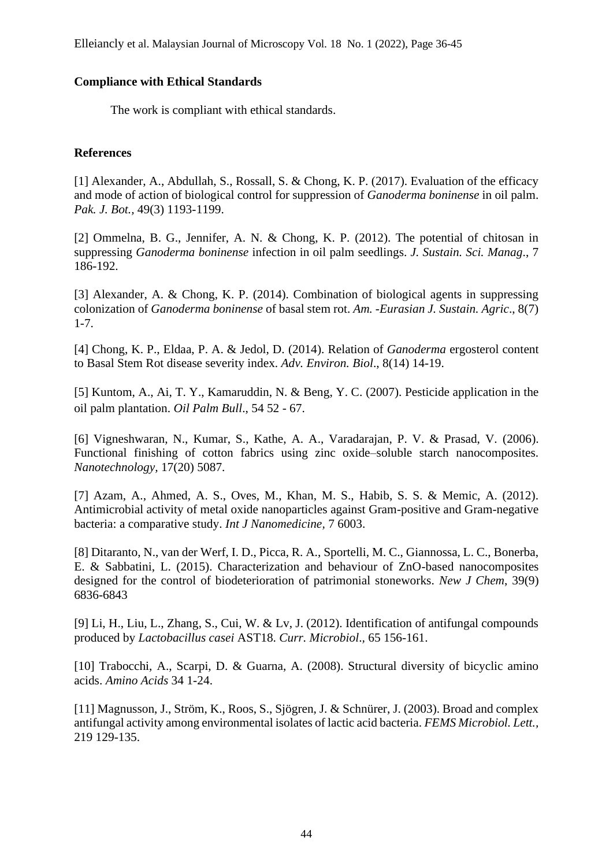## **Compliance with Ethical Standards**

The work is compliant with ethical standards.

# **References**

[1] Alexander, A., Abdullah, S., Rossall, S. & Chong, K. P. (2017). Evaluation of the efficacy and mode of action of biological control for suppression of *Ganoderma boninense* in oil palm. *Pak. J. Bot.,* 49(3) 1193-1199.

[2] Ommelna, B. G., Jennifer, A. N. & Chong, K. P. (2012). The potential of chitosan in suppressing *Ganoderma boninense* infection in oil palm seedlings. *J. Sustain. Sci. Manag*., 7 186-192.

[3] Alexander, A. & Chong, K. P. (2014). Combination of biological agents in suppressing colonization of *Ganoderma boninense* of basal stem rot. *Am. -Eurasian J. Sustain. Agric*., 8(7) 1-7.

[4] Chong, K. P., Eldaa, P. A. & Jedol, D. (2014). Relation of *Ganoderma* ergosterol content to Basal Stem Rot disease severity index. *Adv. Environ. Biol*., 8(14) 14-19.

[5] Kuntom, A., Ai, T. Y., Kamaruddin, N. & Beng, Y. C. (2007). Pesticide application in the oil palm plantation. *Oil Palm Bull*., 54 52 - 67.

[6] Vigneshwaran, N., Kumar, S., Kathe, A. A., Varadarajan, P. V. & Prasad, V. (2006). Functional finishing of cotton fabrics using zinc oxide–soluble starch nanocomposites. *Nanotechnology,* 17(20) 5087.

[7] Azam, A., Ahmed, A. S., Oves, M., Khan, M. S., Habib, S. S. & Memic, A. (2012). Antimicrobial activity of metal oxide nanoparticles against Gram-positive and Gram-negative bacteria: a comparative study. *Int J Nanomedicine,* 7 6003.

[8] Ditaranto, N., van der Werf, I. D., Picca, R. A., Sportelli, M. C., Giannossa, L. C., Bonerba, E. & Sabbatini, L. (2015). Characterization and behaviour of ZnO-based nanocomposites designed for the control of biodeterioration of patrimonial stoneworks. *New J Chem*, 39(9) 6836-6843

[9] Li, H., Liu, L., Zhang, S., Cui, W. & Lv, J. (2012). Identification of antifungal compounds produced by *Lactobacillus casei* AST18. *Curr. Microbiol*.*,* 65 156-161.

[10] Trabocchi, A., Scarpi, D. & Guarna, A. (2008). Structural diversity of bicyclic amino acids. *Amino Acids* 34 1-24.

[11] Magnusson, J., Ström, K., Roos, S., Sjögren, J. & Schnürer, J. (2003). Broad and complex antifungal activity among environmental isolates of lactic acid bacteria. *FEMS Microbiol. Lett.,* 219 129-135.